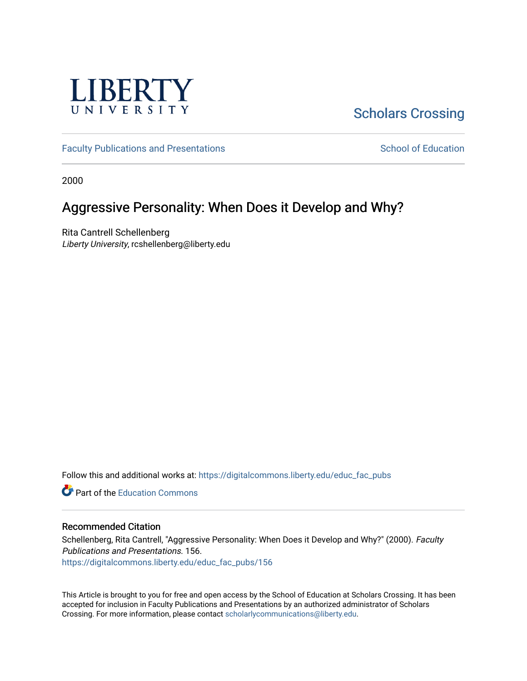

# [Scholars Crossing](https://digitalcommons.liberty.edu/)

[Faculty Publications and Presentations](https://digitalcommons.liberty.edu/educ_fac_pubs) [School of Education](https://digitalcommons.liberty.edu/soe) School of Education

2000

# Aggressive Personality: When Does it Develop and Why?

Rita Cantrell Schellenberg Liberty University, rcshellenberg@liberty.edu

Follow this and additional works at: [https://digitalcommons.liberty.edu/educ\\_fac\\_pubs](https://digitalcommons.liberty.edu/educ_fac_pubs?utm_source=digitalcommons.liberty.edu%2Feduc_fac_pubs%2F156&utm_medium=PDF&utm_campaign=PDFCoverPages) 

**C**<sup> $\bullet$ </sup> Part of the [Education Commons](http://network.bepress.com/hgg/discipline/784?utm_source=digitalcommons.liberty.edu%2Feduc_fac_pubs%2F156&utm_medium=PDF&utm_campaign=PDFCoverPages)

# Recommended Citation

Schellenberg, Rita Cantrell, "Aggressive Personality: When Does it Develop and Why?" (2000). Faculty Publications and Presentations. 156. [https://digitalcommons.liberty.edu/educ\\_fac\\_pubs/156](https://digitalcommons.liberty.edu/educ_fac_pubs/156?utm_source=digitalcommons.liberty.edu%2Feduc_fac_pubs%2F156&utm_medium=PDF&utm_campaign=PDFCoverPages) 

This Article is brought to you for free and open access by the School of Education at Scholars Crossing. It has been accepted for inclusion in Faculty Publications and Presentations by an authorized administrator of Scholars Crossing. For more information, please contact [scholarlycommunications@liberty.edu](mailto:scholarlycommunications@liberty.edu).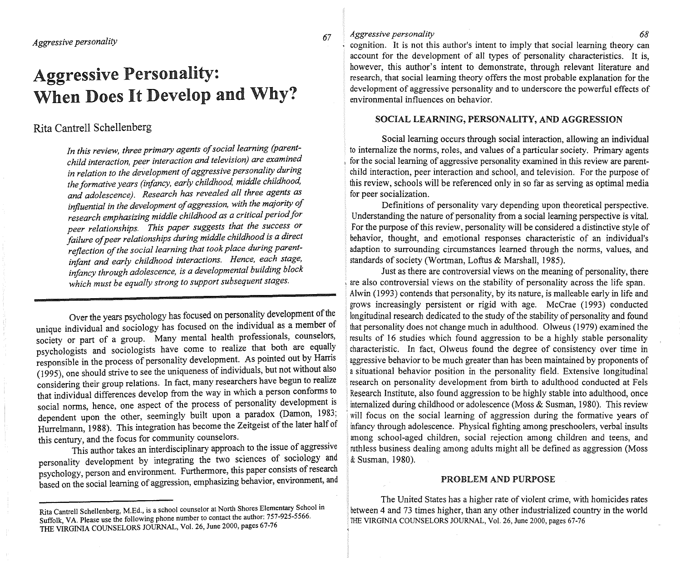# Aggressive Personality: When Does It Develop and Why?

# Rita Cantrell Schellenberg

*In this review, three primary agents of social learning (parentchild interaction, peer interaction and television) are examined in relation to the deVelopment of aggressive personality during the formative years (infancy, early childhood, middle childhood, and adolescence). Research has revealed all three agents as influential in the development of aggression, with the majority of research emphasizing middle childhood as a critical period for peer relationships. This paper suggests that the success or failure of peer relationships during middle childhood is a direct reflection of the social learning that took place during parentinfant and early childhood interactions. Hence, each stage, infancy through adolescence, is a developmental building block which must be equally strong to support subsequent stages.* 

society or part of a group. Many mental health professionals, counselors, results of 16 studies which found aggression to be a highly stable personality<br>never bologists and sociologists have come to realize that both are e psychologists and sociologists have come to realize that both are equally (1995), one should strive to see the uniqueness of individuals, but not without also  $\frac{1}{4}$  situational behavior position in the personality field. Extensive longitudinal considering their group relations. In fact, many researchers have begun to realize research on personality development from birth to adulthood conducted at Fels that individual differences develop from the way in which a person conforms to Research Institute, also found aggression to be highly stable into adulthood, once social norms, hence, one aspect of the process of personality development is internalized during childhood or adolescence (Moss & Susman, 1980). This review

This author takes an interdisciplinary approach to the issue of aggressive personality development by integrating the two sciences of sociology and  $\&$  Susman, 1980). psychology, person and environment. Furthermore, this paper consists of research based on the social learning of aggression, emphasizing behavior, environment, and

### *67 Aggressive personality 68*

, cognition. It is not this author's intent to imply that social learning theory can account for the development of all types of personality characteristics. It is, however, this author's intent to demonstrate, through relevant literature and research, that social learning theory offers the most probable explanation for the development of aggressive personality and to underscore the powerful effects of environmental influences on behavior.

## SOCIAL LEARNING, PERSONALITY, AND AGGRESSION

Social learning occurs through social interaction, allowing an individual to internalize the norms, roles, and values of a particular society. Primary agents for the social learning of aggressive personality examined in this review are parentchild interaction, peer interaction and school, and television. For the purpose of this review, schools will be referenced only in so far as serving as optimal media for peer socialization.

Definitions of personality vary depending upon theoretical perspective. Understanding the nature of personality from a social learning perspective is vital. For the purpose of this review, personality will be considered a distinctive style of behavior, thought, and emotional responses characteristic of an individual's adaption to surrounding circumstances learned through the norms, values, and standards of society (Wortman, Loftus & Marshall, 1985).

Just as there are controversial views on the meaning of personality, there are also controversial views on the stability of personality across the life span. Alwin (1993) contends that personality, by its nature, is malleable early in life and grows increasingly persistent or rigid with age. McCrae (1993) conducted Over the years psychology has focused on personality development of the longitudinal research dedicated to the study of the stability of personality and found unique individual and sociology has focused on the individual as a member of that personality does not change much in adulthood. Olweus (1979) examined the responsible in the process of personality development. As pointed out by Harris aggressive behavior to be much greater than has been maintained by proponents of dependent upon the other, seemingly built upon a paradox (Damon, 1983; 'will focus on the social learning of aggression during the formative years of Hurrelmann, 1988). This integration has become the Zeitgeist of the later half of infancy through adolescence. Physical fighting among preschoolers, verbal insults this century, and the focus for community counselors. among school-aged children, social rejection among children and teens, and nuthless business dealing among adults might all be defined as aggression (Moss

# PROBLEM AND PURPOSE

The United States has a higher rate of violent crime, with homicides rates between 4 and 73 times higher, than any other industrialized country in the world THE VIRGINIA COUNSELORS JOURNAL, Vol. 26, June 2000, pages 67-76

Rita Cantrell Schellenberg, M.Ed., is a school counselor at North Shores Elementary School in Suffolk, VA. Please use the following phone number to contact the author: 757-925-5566. THE VIRGINIA COUNSELORS JOURNAL, Vol. 26, June 2000, pages 67-76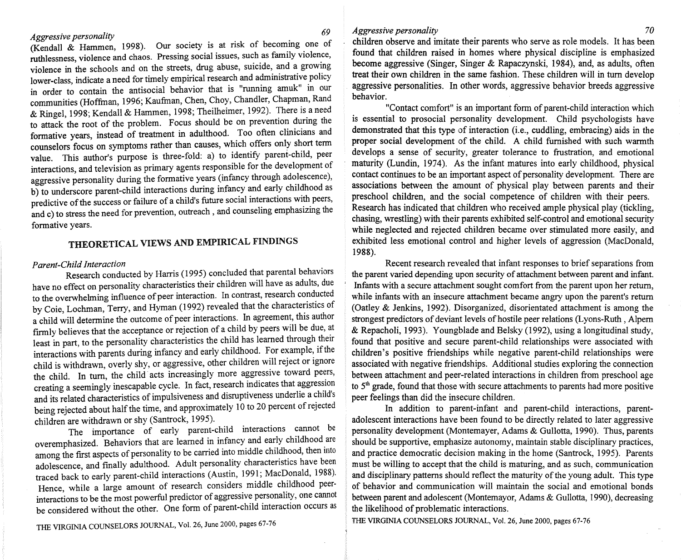(Kendall & Hammen, 1998). Our society is at risk of becoming one of ruthlessness, violence and chaos. Pressing social issues, such as family violence, violence in the schools and on the streets, drug abuse, suicide, and a growing lower-class, indicate a need for timely empirical research and administrative policy in order to contain the antisocial behavior that is "running amuk" in our communities (Hoffman, 1996; Kaufman, Chen, Choy, Chandler, Chapman, Rand & Ringel, 1998; Kendall & Hammen, 1998; Theilheimer, 1992). There is a need to attack the root of the problem. Focus should be on prevention during the formative years, instead of treatment in adulthood. Too often clinicians and counselors focus on symptoms rather than causes, which offers only short tenn value. This author's purpose is three-fold: a) to identify parent-child, peer interactions, and television as primary agents responsible for the development of aggressive personality during the formative years (infancy through adolescence), b) to underscore parent-child interactions during infancy and early chIldhood as predictive of the success or failure of a child's future social interactions with peers, and c) to stress the need for prevention, outreach, and counseling emphasizing the formative years.

# THEORETICAL VIEWS AND EMPIRICAL FINDINGS

#### *Parent-Child Interaction*

Research conducted by Harris (1995) concluded that parental behaviors have no effect on personality characteristics their children will have as adults, due to the overwhelming influence of peer interaction. In contrast, research conducted by Coie, Lochman, Terry, and Hyman (1992) revealed that the characteristics of a child will determine the outcome of peer interactions. In agreement, this author firmly believes that the acceptance or rejection of a child by peers will be due, at least in part, to the personality characteristics the child has learned through their interactions with parents during infancy and early childhood. For example, If the child is withdrawn, overly shy, or aggressive, other children will reject or ignore the child. In tum, the child acts increasingly more aggressive toward peers, creating a seemingly inescapable cycle. In fact, research indicates that aggression and its related characteristics of impulsiveness and disruptiveness underlie a child's being rejected about half the time, and approximately 10 to 20 percent of rejected children are withdrawn or shy (Santrock, 1995).

The importance of early parent-child interactions cannot be overemphasized. Behaviors that are learned in infancy and early childhood are among the frrst aspects of personality to be carried into middle chlldhood, then mto adolescence, and fmally adulthood. Adult personality characteristics have been traced back to early parent-child interactions (Austin, 1991; MacDonald, 1988). Hence, while a large amount of research considers middle childhood peerinteractions to be the most powerful predictor of aggressive personality, one cannot be considered without the other. One form of parent-child interaction occurs as

THE VIRGINIA COUNSELORS JOURNAL, Vol. 26, June 2000, pages 67-76

## *Aggressive personality 70*

children observe and imitate their parents who serve as role models. It has been found that children raised in homes where physical discipline is emphasized become aggressive (Singer, Singer & Rapaczynski, 1984), and, as adults, often treat their own children in the same fashion. These children will in tum develop aggressive personalities. In other words, aggressive behavior breeds aggressive behavior.

"Contact comfort" is an important form of parent-child interaction which is essential to prosocial personality development. Child psychologists have demonstrated that this type of interaction (i.e., cuddling, embracing) aids in the proper social development of the child. A child furnished with such warmth develops a sense of security, greater tolerance to frustration, and emotional maturity (Lundin, 1974). As the infant matures into early childhood, physical contact continues to be an important aspect of personality development. There are associations between the amount of physical play between parents and their preschool children, and the social competence of children with their peers. Research has indicated that children who received ample physical play (tickling, chasing, wrestling) with their parents exhibited self-control and emotional security while neglected and rejected children became over stimulated more easily, and exhibited less emotional control and higher levels of aggression (MacDonald, 1988).

Recent research revealed that infant responses to brief separations from the parent varied depending upon security of attachment between parent and infant. , Infants with a secure attachment sought comfort from the parent upon her return, while infants with an insecure attachment became angry upon the parent's return (Oatley & Jenkins, 1992). Disorganized, disorientated attachment is among the strongest predictors of deviant levels of hostile peer relations (Lyons-Ruth, Alpern & Repacholi, 1993). Youngblade and Belsky (1992), using a longitudinal study, found that positive and secure parent-child relationships were associated with children's positive friendships while negative parent-child relationships were associated with negative friendships. Additional studies exploring the connection between attachment and peer-related interactions in children from preschool age to  $5<sup>th</sup>$  grade, found that those with secure attachments to parents had more positive peer feelings than did the insecure children.

In addition to parent-infant and parent-child interactions, parentadolescent interactions have been found to be directly related to later aggressive personality development (Montemayer, Adams & Gullotta, 1990). Thus, parents should be supportive, emphasize autonomy, maintain stable disciplinary practices, and practice democratic decision making in the home (Santrock, 1995). Parents must be willing to accept that the child is maturing, and as such, communication and disciplinary patterns should reflect the maturity of the young adult. This type of behavior and communication will maintain the social and emotional bonds between parent and adolescent (Montemayor, Adams & Gullotta, 1990), decreasing the likelihood of problematic interactions.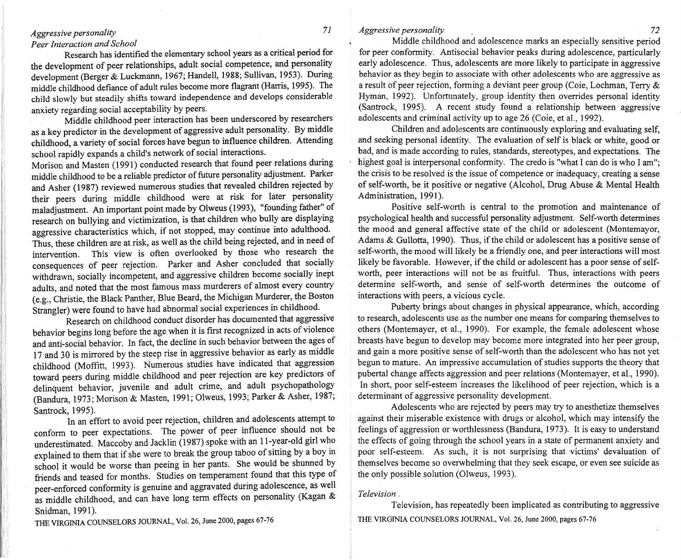#### *Peer Interaction and School*

Research has identified the elementary school years as a critical period for the development of peer relationships, adult social competence, and personality development (Berger & Luckmann, 1967; Handell, 1988; Sullivan, 1953). During middle childhood defiance of adult rules become more flagrant (Harris, 1995). The child slowly but steadily shifts toward independence and develops considerable anxiety regarding social acceptability by peers.

Middle childhood peer interaction has been underscored by researchers as a key predictor in the development of aggressive adult personality. By middle childhood, a variety of social forces have begun to influence children. Attending school rapidly expands a child's network of social interactions.

Morison and Masten (1991) conducted research that found peer relations during middle childhood to be a reliable predictor of future personality adjustment. Parker and Asher (1987) reviewed numerous studies that revealed children rejected by their peers during middle childhood were at risk for later personality maladjustment. An important point made by Olweus (1993), "founding father" of research on bullying and victimization, is that children who bully are displaying aggressive characteristics which, if not stopped, may continue into adulthood. Thus, these children are at risk, as well as the child being rejected, and in need of intervention. This view is often overlooked by those who research the consequences of peer rejection. Parker and Asher concluded that socially withdrawn, socially incompetent, and aggressive children become socially inept adults, and noted that the most famous mass murderers of almost every country (e.g., Christie, the Black Panther, Blue Beard, the Michigan Murderer, the Boston Strangler) were found to have had abnormal social experiences in childhood.

Research on childhood conduct disorder has documented that aggressive behavior begins long before the age when it is first recognized in acts of violence and anti-social behavior. In fact, the decline in such behavior between the ages of 17 and 30 is mirrored by the steep rise in aggressive behavior as early as middle childhood (Moffitt, 1993). Numerous studies have indicated that aggression toward peers during middle childhood and peer rejection are key predictors of delinquent behavior, juvenile and adult crime, and adult psychopathology (Bandura, 1973; Morison & Masten, 1991; Olweus, 1993; Parker & Asher, 1987; Santrock, 1995).

In an effort to avoid peer rejection, children and adolescents attempt to conform to peer expectations. The power of peer influence should not be underestimated. Maccoby and Jacklin (1987) spoke with an l1-year-old girl who explained to them that if she were to break the group taboo of sitting by a boy in school it would be worse than peeing in her pants. She would be shunned by friends and teased for months. Studies on temperament found that this type of peer-enforced conformity is genuine and aggravated during adolescence, as well as middle childhood, and can have long term effects on personality (Kagan & Snidman, 1991).

*Aggressive personality 72* 

Middle childhood and adolescence marks an especially sensitive period for peer conformity. Antisocial behavior peaks during adolescence, particularly early adolescence. Thus, adolescents are more likely to participate in aggressive behavior as they begin to associate with other adolescents who are aggressive as a result of peer rejection, forming a deviant peer group (Coie, Lochman, Terry & Hyman, 1992). Unfortunately, group identity then overrides personal identity (Santrock, 1995). A recent study found a relationship between aggressive adolescents and criminal activity up to age 26 (Coie, et aI., 1992).

Children and adolescents are continuously exploring and evaluating self, and seeking personal identity. The evaluation of self is black or white, good or bad, and is made according to rules, standards, stereotypes, and expectations. The highest goal is interpersonal conformity. The credo is "what I can do is who I am": the crisis to be resolved is the issue of competence or inadequacy, creating a sense of self-worth, be it positive or negative (Alcohol, Drug Abuse & Mental Health Administration, 1991).

Positive self-worth is central to the promotion and maintenance of psychological health and successful personality adjustment. Self-worth determines the mood and general affective state of the child or adolescent (Montemayor, Adams  $\&$  Gullotta, 1990). Thus, if the child or adolescent has a positive sense of self-worth, the mood will likely be a friendly one, and peer interactions will most likely be favorable. However, if the child or adolescent has a poor sense of selfworth, peer interactions will not be as fruitful. Thus, interactions with peers determine self-worth, and sense of self-worth determines the outcome of interactions with peers, a vicious cycle.

Puberty brings about changes in physical appearance, which, according to research, adolescents use as the number one means for comparing themselves to others (Montemayer, et aI., 1990). For example, the female adolescent whose breasts have begun to develop may become more integrated into her peer group, and gain a more positive sense of self-worth than the adolescent who has not yet begun to mature. An impressive accumulation of studies supports the theory that pubertal change affects aggression and peer relations (Montemayer, et aI., 1990). In short, poor self-esteem increases the likelihood of peer rejection, which is a determinant of aggressive personality development.

Adolescents who are rejected by peers may try to anesthetize themselves against their miserable existence with drugs or alcohol, which may intensify the feelings of aggression or worthlessness (Bandura, 1973). It is easy to understand the effects of going through the school years in a state of permanent anxiety and poor self-esteem. As such, it is not surprising that victims' devaluation of themselves become so overwhelming that they seek escape, or even see suicide as the only possible solution (Olweus, 1993).

## *Television.*

Television, has repeatedly been implicated as contributing to aggressive THE VIRGINIA COUNSELORS JOURNAL, VoL 26, June 2000, pages 67-76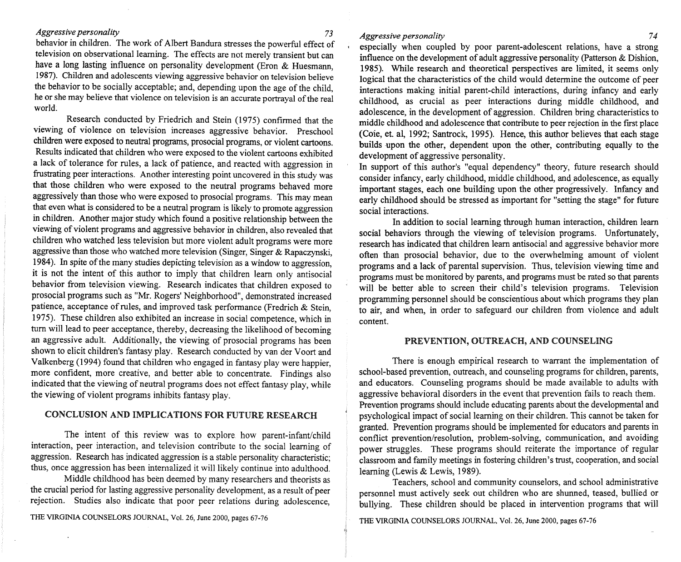behavior in children. The work of Albert Bandura stresses the powerful effect of television on observational learning. The effects are not merely transient but can have a long lasting influence on personality development (Eron & Huesmann, 1987). Children and adolescents viewing aggressive behavior on television believe the behavior to be socially acceptable; and, depending upon the age of the child, he or she may believe that violence on television is an accurate portrayal of the real world.

Research conducted by Friedrich and Stein (1975) confirmed that the viewing of violence on television increases aggressive behavior. Preschool children were exposed to neutral programs, prosocial programs, or violent cartoons. Results indicated that children who were exposed to the violent cartoons exhibited a lack of tolerance for rules, a lack of patience, and reacted with aggression in frustrating peer interactions. Another interesting point uncovered in this study was that those children who were exposed to the neutral programs behaved more aggressively than those who were exposed to prosocial programs. This may mean that even what is considered to be a neutral program is likely to promote aggression in children. Another major study which found a positive relationship between the viewing of violent programs and aggressive behavior in children, also revealed that children who watched less television but more violent adult programs were more aggressive than those who watched more television (Singer, Singer & Rapaczynski, 1984). In spite of the many studies depicting television as a window to aggression, it is not the intent of this author to imply that children learn only antisocial behavior from television viewing. Research indicates that children exposed to prosocial programs such as "Mr. Rogers' Neighborhood", demonstrated increased patience, acceptance of rules, and improved task performance (Fredrich & Stein, 1975). These children also exhibited an increase in social competence, which in tum will lead to peer acceptance, thereby, decreasing the likelihood of becoming an aggressive adult. Additionally, the viewing of prosocial programs has been shown to elicit children's fantasy play. Research conducted by van der Voort and Valkenberg (1994) found that children who engaged in fantasy play were happier, more confident, more creative, and better able to concentrate. Findings also indicated that the viewing of neutral programs does not effect fantasy play, while the viewing of violent programs inhibits fantasy play.

## CONCLUSION AND IMPLICATIONS FOR FUTURE RESEARCH

The intent of this review was to explore how parent-infant/child interaction, peer interaction, and television contribute to the social learning of aggression. Research has indicated aggression is a stable personality characteristic; thus, once aggression has been intemalized it will likely continue into adulthood.

Middle childhood has been deemed by many researchers and theorists as the crucial period for lasting aggressive personality development, as a result of peer rejection. Studies also indicate that poor peer relations during adolescence,

#### *Aggressive personality* 74

especially when coupled by poor parent-adolescent relations, have a strong influence on the development of adult aggressive personality (Patterson & Dishion, 1985). While research and theoretical perspectives are limited, it seems only logical that the characteristics of the child would determine the outcome of peer interactions making initial parent-child interactions, during infancy and early childhood, as crucial as peer interactions during middle childhood, and adolescence, in the development of aggression. Children bring characteristics to middle childhood and adolescence that contribute to peer rejection in the first place (Coie, et. ai, 1992; Santrock, 1995). Hence, this author believes that each stage builds upon the other, dependent upon the other, contributing equally to the development of aggressive personality.

In support of this author's "equal dependency" theory, future research should consider infancy, early childhood, middle childhood, and adolescence, as equally important stages, each one building upon the other progressively. Infancy and early childhood should be stressed as important for "setting the stage" for future social interactions.

In addition to social learning through human interaction, children learn social behaviors through the viewing of television programs. Unfortunately, research has indicated that children learn antisocial and aggressive behavior more often than prosocial behavior, due to the overwhelming amount of violent programs and a lack of parental supervision. Thus, television viewing time and programs must be monitored by parents, and programs must be rated so that parents will be better able to screen their child's television programs. Television programming personnel should be conscientious about which programs they plan to air, and when, in order to safeguard our children from violence and adult content.

#### PREVENTION, OUTREACH, AND COUNSELING

There is enough empirical research to warrant the implementation of school-based prevention, outreach, and counseling programs for children, parents, and educators. Counseling programs should be made available to adults with aggressive behavioral disorders in the event that prevention fails to reach them. Prevention programs should include educating parents about the developmental and psychological impact of social learning on their children. This cannot be taken for granted. Prevention programs should be implemented for educators and parents in conflict prevention/resolution, problem-solving, communication, and avoiding power struggles. These programs should reiterate the importance of regular classroom and family meetings in fostering children's trust, cooperation, and social learning (Lewis & Lewis, 1989).

Teachers, school and community counselors, and school administrative personnel must actively seek out children who are shunned, teased, bullied or bullying. These children should be placed in intervention programs that wIll

THE VIRGINIA COUNSELORS JOURNAL, Vol. 26, June 2000, pages 67-76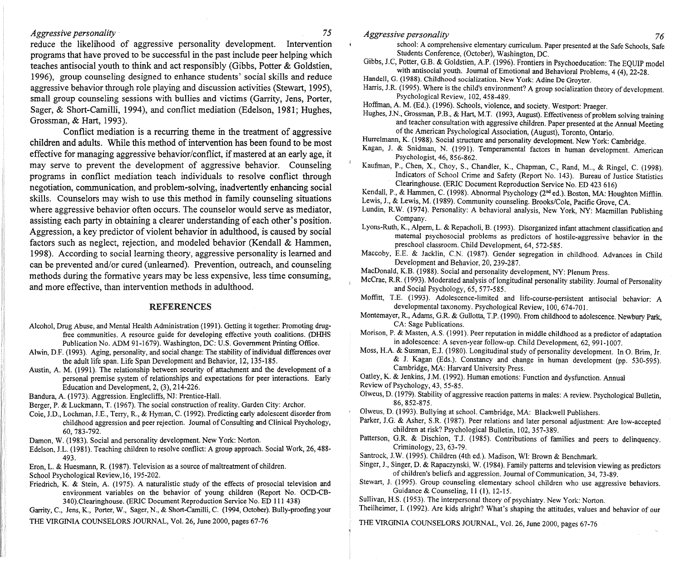reduce the likelihood of aggressive personality development. Intervention programs that have proved to be successful in the past include peer helping which teaches antisocial youth to think and act responsibly (Gibbs, Potter & Goldstien, 1996), group counseling designed to enhance students' social skiIIs and reduce aggressive behavior through role playing and discussion activities (Stewart, 1995), small group counseling sessions with bullies and victims (Garrity, Jens, Porter, Sager, & Short-Camilli, 1994), and conflict mediation (Edelson, 1981; Hughes, Grossman, & Hart, 1993).

Conflict mediation is a recurring theme in the treatment of aggressive children and adults. While this method of intervention has been found to be most effective for managing aggressive behavior/conflict, if mastered at an early age, it may serve to prevent the development of aggressive behavior. Counseling programs in conflict mediation teach individuals to resolve conflict through negotiation, communication, and problem-solving, inadvertently enhancing social skills. Counselors may wish to use this method in family counseling situations where aggressive behavior often occurs. The counselor would serve as mediator, assisting each party in obtaining a clearer understanding of each other's position. Aggression, a key predictor of violent behavior in adulthood, is caused by social factors such as neglect, rejection, and modeled behavior (Kendall & Hammen, 1998). According to social learning theory, aggressive personality is learned and can be prevented and/or cured (unlearned). Prevention, outreach, and counseling methods during the formative years may be less expensive, less time consuming, and more effective, than intervention methods in adulthood.

## REFERENCES

- Alcohol, Drug Abuse, and Mental Health Administration (1991). Getting it together: Promoting drugfree communities. A resource guide for developing effective youth coalitions. (DHHS Publication No. ADM 91-1679). Washington, DC: U.S. Government Printing Office.
- Alwin, D.F. (1993). Aging, personality, and social change: The stability of individual differences over the adult life span. Life Span Development and Behavior, 12, 135-185.
- Austin, A. M. (1991). The relationship between security of attachment and the development of a personal premise system of relationships and expectations for peer interactions. Early Education and Development, 2, (3), 214-226.
- Bandura, A. (1973). Aggression. Englecliffs, NJ: Prentice-Hall.
- Berger, P. & Luckmann, T. (1967). The social construction of reality. Garden City: Archor.
- Coie, J.D., Lochman, J.E., Terry, R., & Hyman, C. (1992). Predicting early adolescent disorder from childhood aggression and peer rejection. Journal of Consulting and Clinical Psychology, 60, 783-792.
- Damon, W. (1983). Social and personality development. New York: Norton.
- Edelson, J.L. (1981). Teaching children to resolve conflict: A group approach. Social Work, 26, 488- 493.
- Eron, L. & Huesmann, R. (1987). Television as a source of maltreatment of children.

School Psychological Review, 16, 195-202.

Friedrich, K. & Stein, A. (1975). A naturalistic study of the effects of prosocial television and environment variables on the behavior of young children (Report No. OCD-CB-340).Clearinghouse. (ERIC Document Reproduction Service No. ED 111 438)

Garrity, C., Jens, K., Porter, W., Sager, N., & Short-Camilli, C. (1994, October). Bully-proofing your THE VIRGINIA COUNSELORS JOURNAL, Vol. 26, June 2000, pages 67-76

- school: A comprehensive elementary curriculum. Paper presented at the Safe Schools, Safe Students Conference, (October), Washington, DC.
- Gibbs, J.C, Potter, G.B. & Goldstien, A.P. (1996). Frontiers in Psychoeducation: The EQUIP model with antisocial youth. Journal of Emotional and Behavioral Problems, 4 (4), 22-28.
- Handel!, G. (1988). Childhood socialization. New York: Adine De Groyter.
- Harris, J.R. (1995). Where is the child's environment? A group socialization theory of development. Psychological Review, 102,458-489.
- Hoffman, A. M. (Ed.). (1996). Schools, violence, and society. Westport: Praeger.
- Hughes, J.N., Grossman, P.B., & Hart, M.T. (1993, August). Effectiveness of problem solving training and teacher consultation with aggressive children. Paper presented at the Annual Meeting of the American Psychological Association, (August), Toronto, Ontario.
- Hurrelmann, K. (1988). Social structure and personality development. New York: Cambridge.
- Kagan, J. & Snidman, N. (1991). Temperamental factors in human development. American Psychologist, 46, 856-862.
- Kaufman, P., Chen, X., Choy, S., Chandler, K., Chapman, C., Rand, M.., & Ringel, C. (1998). Indicators of School Crime and Safety (Report No. 143). Bureau of Justice Statistics Clearinghouse. (ERIC Document Reproduction Service No. ED 423 616)
- Kendall, P., & Hammen, C. (1998). Abnormal Psychology (2nd ed.). Boston, MA: Houghton Mifflin.
- Lewis, J., & Lewis, M. (1989). Community counseling. Brooks/Cole, Pacific Grove, CA.
- Lundin, R.W. (1974). Personality: A behavioral analysis, New York, NY: Macmillan Publishing Company.
- Lyons-Ruth, K., AJpem, L. & Repacholi, B. (1993). Disorganized infant attachment classification and maternal psychosocial problems as predictors of hostile-aggressive behavior in the preschool classroom. Child Development, 64, 572-585.
- Maccoby, E.E. & Jacklin, C.N. (1987). Gender segregation in childhood. Advances in Child Development and Behavior, 20, 239-287.
- MacDonald, K.B. (1988). Social and personality development, NY: Plenum Press.
- McCrae, R.R. (1993). Moderated analysis of longitudinal personality stability. Journal of Personality and Social Psychology, 65, 577-585.
- Moffitt, T.E. (1993). Adolescence-limited and Iife-course-persistent antisocial behavior: A developmental taxonomy. Psychological Review, 100,674-701.
- Montemayer, R., Adams, G.R. & Gullotta, T.P. (1990). From childhood to adolescence. Newbury Park, CA: Sage Publications.
- Morison, P. & Masten, A.S. (1991). Peer reputation in middle childhood as a predictor of adaptation in adolescence: A seven-year follow-up. Child Development, 62, 991-1007.
- Moss, H.A. & Susman, E.J. (1980). Longitudinal study of personality development. In O. Brim, Jr. & J. Kagan (Eds.). Constancy and change in human development (pp. 530-595). Cambridge, MA: Harvard University Press.
- Oatley, K. & Jenkins, J.M. (1992). Human emotions: Function and dysfunction. Annual
- Review of Psychology, 43, 55-85.
- Olweus, D. (1979). Stability of aggressive reaction patterns in males: A review. Psychological Bulletin, 86,852-875.
- Olweus, D. (1993). Bullying at school. Cambridge, MA: Blackwell Publishers.
- Parker, J.G. & Asher, S.R. (1987). Peer relations and later personal adjustment: Are low-accepted children at risk? Psychological Bulletin, 102,357-389.
- Patterson, G.R. & Dischion, TJ. (1985). Contributions of families and peers to delinquency. Criminology, 23, 63-79.
- Santrock, *l.W.* (1995). Children (4th ed.). Madison, WI: Brown & Benchmark.
- Singer, 1., Singer, D. & Rapaczynski, W. (1984). Family patterns and television viewing as predictors of children's beliefs and aggression. Journal of Communication, 34, 73-89.
- Stewart, J. (1995). Group counseling elementary school children who use aggressive behaviors. Guidance & Counseling, 11 (1), 12-15.
- Sullivan, H.S. (1953). The interpersonal theory of psychiatry. New York: Norton.

Theilheimer, I. (1992). Are kids alright? What's shaping the attitudes, values and behavior of our

*Aggressive personality 76*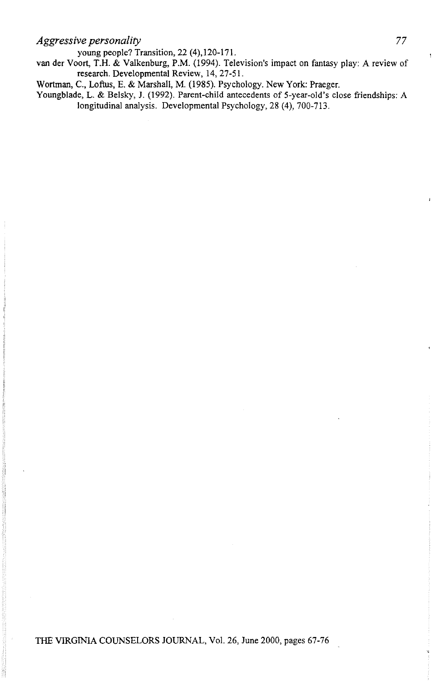young people? Transition, 22 (4),120-171.

van der Voort, T.H. & Valkenburg, P.M. (1994). Television's impact on fantasy play: A review of research. Developmental Review, 14,27-51.

Wortman, C., Loftus, E. & Marshall, M. (1985). Psychology. New York: Praeger.

Youngblade, L. & Belsky, J. (1992). Parent-child antecedents of 5-year-old's close friendships: A longitudinal analysis. Developmental Psychology, 28 (4), 700-713.